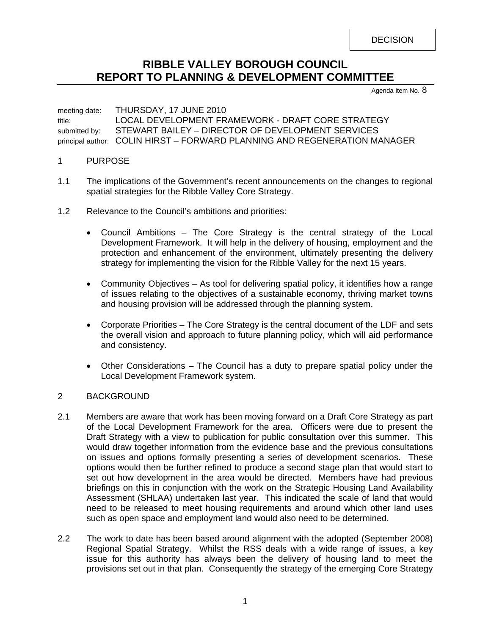**DECISION** 

# **RIBBLE VALLEY BOROUGH COUNCIL REPORT TO PLANNING & DEVELOPMENT COMMITTEE**

Agenda Item No. 8

meeting date: THURSDAY, 17 JUNE 2010 title: LOCAL DEVELOPMENT FRAMEWORK - DRAFT CORE STRATEGY submitted by: STEWART BAILEY - DIRECTOR OF DEVELOPMENT SERVICES principal author: COLIN HIRST – FORWARD PLANNING AND REGENERATION MANAGER

- 1 PURPOSE
- 1.1 The implications of the Government's recent announcements on the changes to regional spatial strategies for the Ribble Valley Core Strategy.
- 1.2 Relevance to the Council's ambitions and priorities:
	- Council Ambitions The Core Strategy is the central strategy of the Local Development Framework. It will help in the delivery of housing, employment and the protection and enhancement of the environment, ultimately presenting the delivery strategy for implementing the vision for the Ribble Valley for the next 15 years.
	- Community Objectives As tool for delivering spatial policy, it identifies how a range of issues relating to the objectives of a sustainable economy, thriving market towns and housing provision will be addressed through the planning system.
	- Corporate Priorities The Core Strategy is the central document of the LDF and sets the overall vision and approach to future planning policy, which will aid performance and consistency.
	- Other Considerations The Council has a duty to prepare spatial policy under the Local Development Framework system.

## 2 BACKGROUND

- 2.1 Members are aware that work has been moving forward on a Draft Core Strategy as part of the Local Development Framework for the area. Officers were due to present the Draft Strategy with a view to publication for public consultation over this summer. This would draw together information from the evidence base and the previous consultations on issues and options formally presenting a series of development scenarios. These options would then be further refined to produce a second stage plan that would start to set out how development in the area would be directed. Members have had previous briefings on this in conjunction with the work on the Strategic Housing Land Availability Assessment (SHLAA) undertaken last year. This indicated the scale of land that would need to be released to meet housing requirements and around which other land uses such as open space and employment land would also need to be determined.
- 2.2 The work to date has been based around alignment with the adopted (September 2008) Regional Spatial Strategy. Whilst the RSS deals with a wide range of issues, a key issue for this authority has always been the delivery of housing land to meet the provisions set out in that plan. Consequently the strategy of the emerging Core Strategy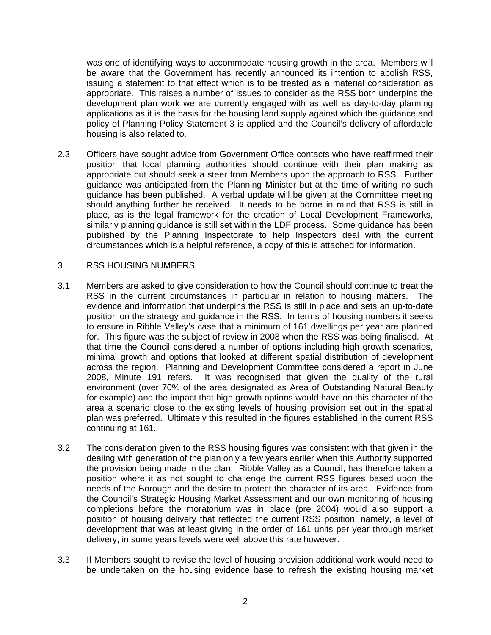was one of identifying ways to accommodate housing growth in the area. Members will be aware that the Government has recently announced its intention to abolish RSS, issuing a statement to that effect which is to be treated as a material consideration as appropriate. This raises a number of issues to consider as the RSS both underpins the development plan work we are currently engaged with as well as day-to-day planning applications as it is the basis for the housing land supply against which the guidance and policy of Planning Policy Statement 3 is applied and the Council's delivery of affordable housing is also related to.

2.3 Officers have sought advice from Government Office contacts who have reaffirmed their position that local planning authorities should continue with their plan making as appropriate but should seek a steer from Members upon the approach to RSS. Further guidance was anticipated from the Planning Minister but at the time of writing no such guidance has been published. A verbal update will be given at the Committee meeting should anything further be received. It needs to be borne in mind that RSS is still in place, as is the legal framework for the creation of Local Development Frameworks, similarly planning guidance is still set within the LDF process. Some guidance has been published by the Planning Inspectorate to help Inspectors deal with the current circumstances which is a helpful reference, a copy of this is attached for information.

#### 3 RSS HOUSING NUMBERS

- 3.1 Members are asked to give consideration to how the Council should continue to treat the RSS in the current circumstances in particular in relation to housing matters. The evidence and information that underpins the RSS is still in place and sets an up-to-date position on the strategy and guidance in the RSS. In terms of housing numbers it seeks to ensure in Ribble Valley's case that a minimum of 161 dwellings per year are planned for. This figure was the subject of review in 2008 when the RSS was being finalised. At that time the Council considered a number of options including high growth scenarios, minimal growth and options that looked at different spatial distribution of development across the region. Planning and Development Committee considered a report in June 2008, Minute 191 refers. It was recognised that given the quality of the rural environment (over 70% of the area designated as Area of Outstanding Natural Beauty for example) and the impact that high growth options would have on this character of the area a scenario close to the existing levels of housing provision set out in the spatial plan was preferred. Ultimately this resulted in the figures established in the current RSS continuing at 161.
- 3.2 The consideration given to the RSS housing figures was consistent with that given in the dealing with generation of the plan only a few years earlier when this Authority supported the provision being made in the plan. Ribble Valley as a Council, has therefore taken a position where it as not sought to challenge the current RSS figures based upon the needs of the Borough and the desire to protect the character of its area. Evidence from the Council's Strategic Housing Market Assessment and our own monitoring of housing completions before the moratorium was in place (pre 2004) would also support a position of housing delivery that reflected the current RSS position, namely, a level of development that was at least giving in the order of 161 units per year through market delivery, in some years levels were well above this rate however.
- 3.3 If Members sought to revise the level of housing provision additional work would need to be undertaken on the housing evidence base to refresh the existing housing market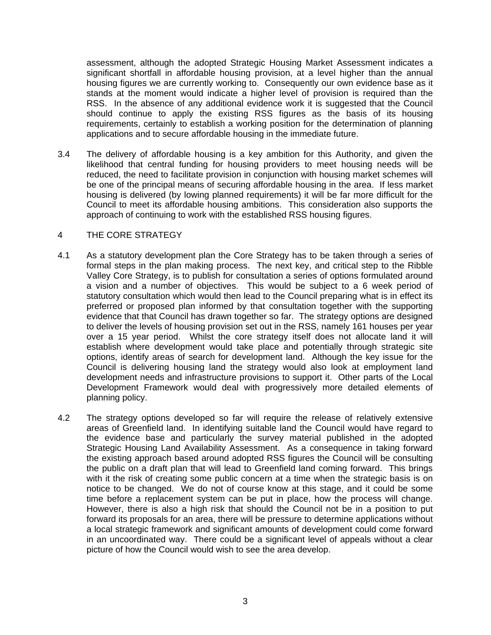assessment, although the adopted Strategic Housing Market Assessment indicates a significant shortfall in affordable housing provision, at a level higher than the annual housing figures we are currently working to. Consequently our own evidence base as it stands at the moment would indicate a higher level of provision is required than the RSS. In the absence of any additional evidence work it is suggested that the Council should continue to apply the existing RSS figures as the basis of its housing requirements, certainly to establish a working position for the determination of planning applications and to secure affordable housing in the immediate future.

3.4 The delivery of affordable housing is a key ambition for this Authority, and given the likelihood that central funding for housing providers to meet housing needs will be reduced, the need to facilitate provision in conjunction with housing market schemes will be one of the principal means of securing affordable housing in the area. If less market housing is delivered (by lowing planned requirements) it will be far more difficult for the Council to meet its affordable housing ambitions. This consideration also supports the approach of continuing to work with the established RSS housing figures.

#### 4 THE CORE STRATEGY

- 4.1 As a statutory development plan the Core Strategy has to be taken through a series of formal steps in the plan making process. The next key, and critical step to the Ribble Valley Core Strategy, is to publish for consultation a series of options formulated around a vision and a number of objectives. This would be subject to a 6 week period of statutory consultation which would then lead to the Council preparing what is in effect its preferred or proposed plan informed by that consultation together with the supporting evidence that that Council has drawn together so far. The strategy options are designed to deliver the levels of housing provision set out in the RSS, namely 161 houses per year over a 15 year period. Whilst the core strategy itself does not allocate land it will establish where development would take place and potentially through strategic site options, identify areas of search for development land. Although the key issue for the Council is delivering housing land the strategy would also look at employment land development needs and infrastructure provisions to support it. Other parts of the Local Development Framework would deal with progressively more detailed elements of planning policy.
- 4.2 The strategy options developed so far will require the release of relatively extensive areas of Greenfield land. In identifying suitable land the Council would have regard to the evidence base and particularly the survey material published in the adopted Strategic Housing Land Availability Assessment. As a consequence in taking forward the existing approach based around adopted RSS figures the Council will be consulting the public on a draft plan that will lead to Greenfield land coming forward. This brings with it the risk of creating some public concern at a time when the strategic basis is on notice to be changed. We do not of course know at this stage, and it could be some time before a replacement system can be put in place, how the process will change. However, there is also a high risk that should the Council not be in a position to put forward its proposals for an area, there will be pressure to determine applications without a local strategic framework and significant amounts of development could come forward in an uncoordinated way. There could be a significant level of appeals without a clear picture of how the Council would wish to see the area develop.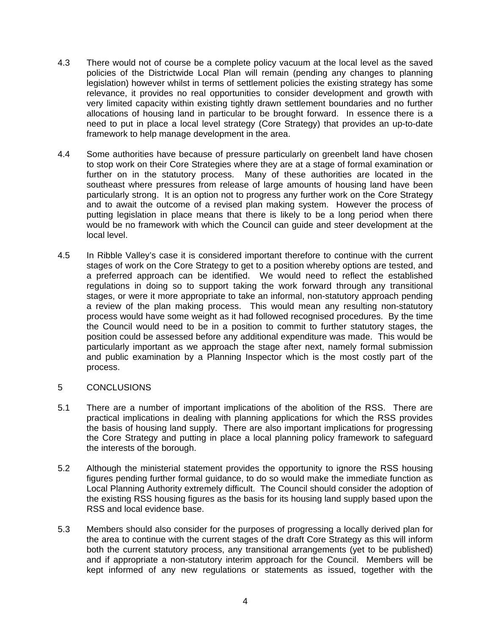- 4.3 There would not of course be a complete policy vacuum at the local level as the saved policies of the Districtwide Local Plan will remain (pending any changes to planning legislation) however whilst in terms of settlement policies the existing strategy has some relevance, it provides no real opportunities to consider development and growth with very limited capacity within existing tightly drawn settlement boundaries and no further allocations of housing land in particular to be brought forward. In essence there is a need to put in place a local level strategy (Core Strategy) that provides an up-to-date framework to help manage development in the area.
- 4.4 Some authorities have because of pressure particularly on greenbelt land have chosen to stop work on their Core Strategies where they are at a stage of formal examination or further on in the statutory process. Many of these authorities are located in the southeast where pressures from release of large amounts of housing land have been particularly strong. It is an option not to progress any further work on the Core Strategy and to await the outcome of a revised plan making system. However the process of putting legislation in place means that there is likely to be a long period when there would be no framework with which the Council can guide and steer development at the local level.
- 4.5 In Ribble Valley's case it is considered important therefore to continue with the current stages of work on the Core Strategy to get to a position whereby options are tested, and a preferred approach can be identified. We would need to reflect the established regulations in doing so to support taking the work forward through any transitional stages, or were it more appropriate to take an informal, non-statutory approach pending a review of the plan making process. This would mean any resulting non-statutory process would have some weight as it had followed recognised procedures. By the time the Council would need to be in a position to commit to further statutory stages, the position could be assessed before any additional expenditure was made. This would be particularly important as we approach the stage after next, namely formal submission and public examination by a Planning Inspector which is the most costly part of the process.
- 5 CONCLUSIONS
- 5.1 There are a number of important implications of the abolition of the RSS. There are practical implications in dealing with planning applications for which the RSS provides the basis of housing land supply. There are also important implications for progressing the Core Strategy and putting in place a local planning policy framework to safeguard the interests of the borough.
- 5.2 Although the ministerial statement provides the opportunity to ignore the RSS housing figures pending further formal guidance, to do so would make the immediate function as Local Planning Authority extremely difficult. The Council should consider the adoption of the existing RSS housing figures as the basis for its housing land supply based upon the RSS and local evidence base.
- 5.3 Members should also consider for the purposes of progressing a locally derived plan for the area to continue with the current stages of the draft Core Strategy as this will inform both the current statutory process, any transitional arrangements (yet to be published) and if appropriate a non-statutory interim approach for the Council. Members will be kept informed of any new regulations or statements as issued, together with the